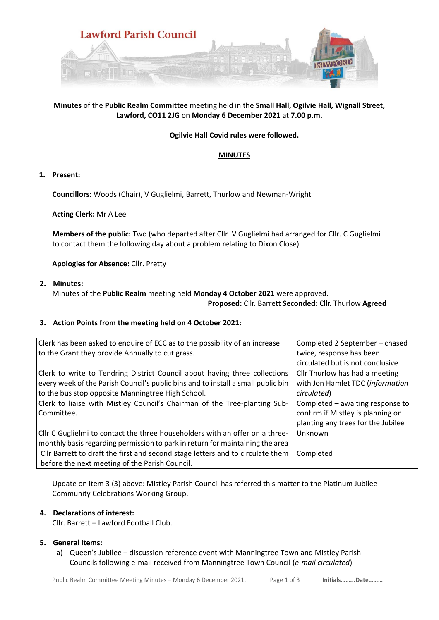

# **Minutes** of the **Public Realm Committee** meeting held in the **Small Hall, Ogilvie Hall, Wignall Street, Lawford, CO11 2JG** on **Monday 6 December 2021** at **7.00 p.m.**

# **Ogilvie Hall Covid rules were followed.**

# **MINUTES**

# **1. Present:**

**Councillors:** Woods (Chair), V Guglielmi, Barrett, Thurlow and Newman-Wright

**Acting Clerk:** Mr A Lee

**Members of the public:** Two (who departed after Cllr. V Guglielmi had arranged for Cllr. C Guglielmi to contact them the following day about a problem relating to Dixon Close)

**Apologies for Absence:** Cllr. Pretty

**2. Minutes:**

Minutes of the **Public Realm** meeting held **Monday 4 October 2021** were approved.

**Proposed:** Cllr. Barrett **Seconded:** Cllr. Thurlow **Agreed**

### **3. Action Points from the meeting held on 4 October 2021:**

| Clerk has been asked to enquire of ECC as to the possibility of an increase<br>to the Grant they provide Annually to cut grass.                                                                                                                                                                  | Completed 2 September - chased<br>twice, response has been<br>circulated but is not conclusive                        |
|--------------------------------------------------------------------------------------------------------------------------------------------------------------------------------------------------------------------------------------------------------------------------------------------------|-----------------------------------------------------------------------------------------------------------------------|
| Clerk to write to Tendring District Council about having three collections<br>every week of the Parish Council's public bins and to install a small public bin<br>to the bus stop opposite Manningtree High School.<br>Clerk to liaise with Mistley Council's Chairman of the Tree-planting Sub- | Cllr Thurlow has had a meeting<br>with Jon Hamlet TDC (information<br>circulated)<br>Completed – awaiting response to |
| l Committee.                                                                                                                                                                                                                                                                                     | confirm if Mistley is planning on<br>planting any trees for the Jubilee                                               |
| Cllr C Guglielmi to contact the three householders with an offer on a three-<br>monthly basis regarding permission to park in return for maintaining the area                                                                                                                                    | Unknown                                                                                                               |
| Cllr Barrett to draft the first and second stage letters and to circulate them<br>before the next meeting of the Parish Council.                                                                                                                                                                 | Completed                                                                                                             |

Update on item 3 (3) above: Mistley Parish Council has referred this matter to the Platinum Jubilee Community Celebrations Working Group.

### **4. Declarations of interest:**

Cllr. Barrett – Lawford Football Club.

# **5. General items:**

a) Queen's Jubilee – discussion reference event with Manningtree Town and Mistley Parish Councils following e-mail received from Manningtree Town Council (*e-mail circulated*)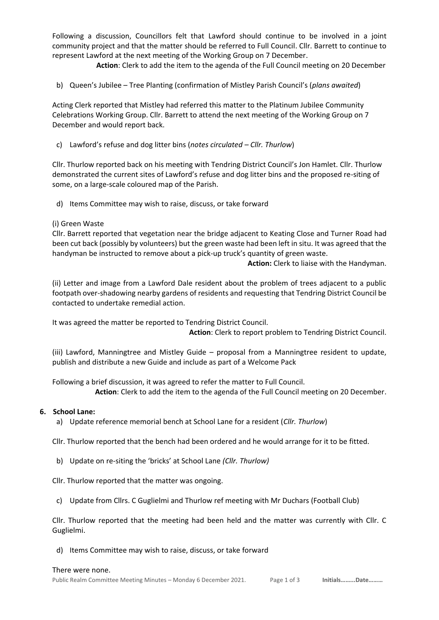Following a discussion, Councillors felt that Lawford should continue to be involved in a joint community project and that the matter should be referred to Full Council. Cllr. Barrett to continue to represent Lawford at the next meeting of the Working Group on 7 December.

**Action**: Clerk to add the item to the agenda of the Full Council meeting on 20 December

b) Queen's Jubilee – Tree Planting (confirmation of Mistley Parish Council's (*plans awaited*)

Acting Clerk reported that Mistley had referred this matter to the Platinum Jubilee Community Celebrations Working Group. Cllr. Barrett to attend the next meeting of the Working Group on 7 December and would report back.

c) Lawford's refuse and dog litter bins (*notes circulated – Cllr. Thurlow*)

Cllr. Thurlow reported back on his meeting with Tendring District Council's Jon Hamlet. Cllr. Thurlow demonstrated the current sites of Lawford's refuse and dog litter bins and the proposed re-siting of some, on a large-scale coloured map of the Parish.

d) Items Committee may wish to raise, discuss, or take forward

(i) Green Waste

Cllr. Barrett reported that vegetation near the bridge adjacent to Keating Close and Turner Road had been cut back (possibly by volunteers) but the green waste had been left in situ. It was agreed that the handyman be instructed to remove about a pick-up truck's quantity of green waste.

**Action:** Clerk to liaise with the Handyman.

(ii) Letter and image from a Lawford Dale resident about the problem of trees adjacent to a public footpath over-shadowing nearby gardens of residents and requesting that Tendring District Council be contacted to undertake remedial action.

It was agreed the matter be reported to Tendring District Council.

 **Action**: Clerk to report problem to Tendring District Council.

(iii) Lawford, Manningtree and Mistley Guide – proposal from a Manningtree resident to update, publish and distribute a new Guide and include as part of a Welcome Pack

Following a brief discussion, it was agreed to refer the matter to Full Council. **Action**: Clerk to add the item to the agenda of the Full Council meeting on 20 December.

### **6. School Lane:**

a) Update reference memorial bench at School Lane for a resident (*Cllr. Thurlow*)

Cllr. Thurlow reported that the bench had been ordered and he would arrange for it to be fitted.

b) Update on re-siting the 'bricks' at School Lane *(Cllr. Thurlow)*

Cllr. Thurlow reported that the matter was ongoing.

c) Update from Cllrs. C Guglielmi and Thurlow ref meeting with Mr Duchars (Football Club)

Cllr. Thurlow reported that the meeting had been held and the matter was currently with Cllr. C Guglielmi.

d) Items Committee may wish to raise, discuss, or take forward

#### There were none.